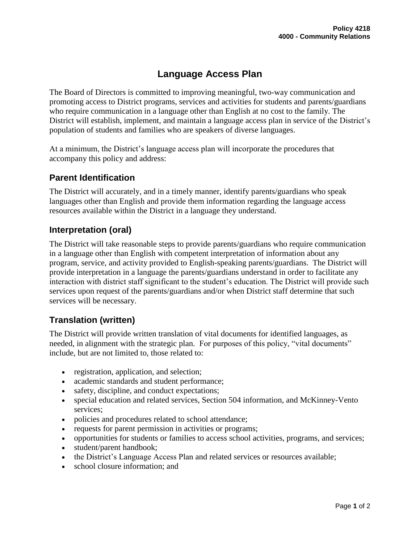# **Language Access Plan**

The Board of Directors is committed to improving meaningful, two-way communication and promoting access to District programs, services and activities for students and parents/guardians who require communication in a language other than English at no cost to the family. The District will establish, implement, and maintain a language access plan in service of the District's population of students and families who are speakers of diverse languages.

At a minimum, the District's language access plan will incorporate the procedures that accompany this policy and address:

### **Parent Identification**

The District will accurately, and in a timely manner, identify parents/guardians who speak languages other than English and provide them information regarding the language access resources available within the District in a language they understand.

### **Interpretation (oral)**

The District will take reasonable steps to provide parents/guardians who require communication in a language other than English with competent interpretation of information about any program, service, and activity provided to English-speaking parents/guardians. The District will provide interpretation in a language the parents/guardians understand in order to facilitate any interaction with district staff significant to the student's education. The District will provide such services upon request of the parents/guardians and/or when District staff determine that such services will be necessary.

## **Translation (written)**

The District will provide written translation of vital documents for identified languages, as needed, in alignment with the strategic plan. For purposes of this policy, "vital documents" include, but are not limited to, those related to:

- registration, application, and selection;
- academic standards and student performance;
- safety, discipline, and conduct expectations;
- special education and related services, Section 504 information, and McKinney-Vento services;
- policies and procedures related to school attendance;
- requests for parent permission in activities or programs;
- opportunities for students or families to access school activities, programs, and services;
- student/parent handbook;
- the District's Language Access Plan and related services or resources available;
- school closure information: and